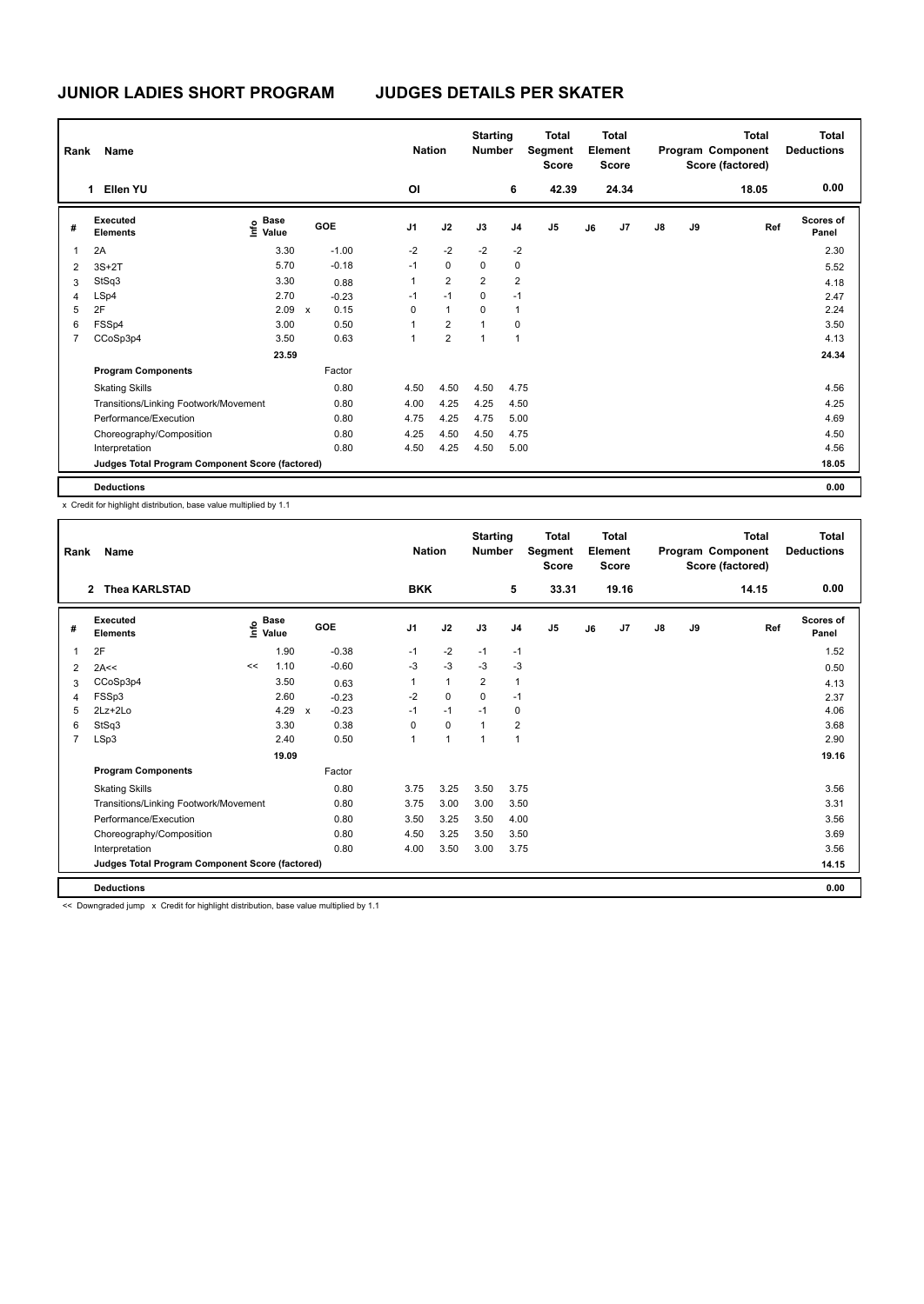| Rank           | Name                                            |                                  |              |         |                | <b>Nation</b>  | <b>Starting</b><br><b>Number</b> |                | <b>Total</b><br>Segment<br><b>Score</b> |    | Total<br>Element<br><b>Score</b> |               |    | Total<br>Program Component<br>Score (factored) | <b>Total</b><br><b>Deductions</b> |
|----------------|-------------------------------------------------|----------------------------------|--------------|---------|----------------|----------------|----------------------------------|----------------|-----------------------------------------|----|----------------------------------|---------------|----|------------------------------------------------|-----------------------------------|
|                | Ellen YU<br>1                                   |                                  |              |         | OI             |                |                                  | 6              | 42.39                                   |    | 24.34                            |               |    | 18.05                                          | 0.00                              |
| #              | Executed<br><b>Elements</b>                     | <b>Base</b><br>e Base<br>⊆ Value | <b>GOE</b>   |         | J <sub>1</sub> | J2             | J3                               | J <sub>4</sub> | J <sub>5</sub>                          | J6 | J <sub>7</sub>                   | $\mathsf{J}8$ | J9 | Ref                                            | Scores of<br>Panel                |
| $\overline{1}$ | 2A                                              | 3.30                             |              | $-1.00$ | $-2$           | $-2$           | $-2$                             | $-2$           |                                         |    |                                  |               |    |                                                | 2.30                              |
| $\overline{2}$ | $3S+2T$                                         | 5.70                             |              | $-0.18$ | $-1$           | $\mathbf 0$    | 0                                | 0              |                                         |    |                                  |               |    |                                                | 5.52                              |
| 3              | StSq3                                           | 3.30                             |              | 0.88    | 1              | $\overline{2}$ | $\overline{2}$                   | $\overline{2}$ |                                         |    |                                  |               |    |                                                | 4.18                              |
| $\overline{4}$ | LSp4                                            | 2.70                             |              | $-0.23$ | $-1$           | $-1$           | $\mathbf 0$                      | $-1$           |                                         |    |                                  |               |    |                                                | 2.47                              |
| 5              | 2F                                              | 2.09                             | $\mathsf{x}$ | 0.15    | 0              | $\mathbf{1}$   | 0                                | 1              |                                         |    |                                  |               |    |                                                | 2.24                              |
| 6              | FSSp4                                           | 3.00                             |              | 0.50    | 1              | $\overline{2}$ | $\mathbf{1}$                     | 0              |                                         |    |                                  |               |    |                                                | 3.50                              |
| 7              | CCoSp3p4                                        | 3.50                             |              | 0.63    | 1              | $\overline{2}$ | 1                                | $\overline{1}$ |                                         |    |                                  |               |    |                                                | 4.13                              |
|                |                                                 | 23.59                            |              |         |                |                |                                  |                |                                         |    |                                  |               |    |                                                | 24.34                             |
|                | <b>Program Components</b>                       |                                  |              | Factor  |                |                |                                  |                |                                         |    |                                  |               |    |                                                |                                   |
|                | <b>Skating Skills</b>                           |                                  |              | 0.80    | 4.50           | 4.50           | 4.50                             | 4.75           |                                         |    |                                  |               |    |                                                | 4.56                              |
|                | Transitions/Linking Footwork/Movement           |                                  |              | 0.80    | 4.00           | 4.25           | 4.25                             | 4.50           |                                         |    |                                  |               |    |                                                | 4.25                              |
|                | Performance/Execution                           |                                  |              | 0.80    | 4.75           | 4.25           | 4.75                             | 5.00           |                                         |    |                                  |               |    |                                                | 4.69                              |
|                | Choreography/Composition                        |                                  |              | 0.80    | 4.25           | 4.50           | 4.50                             | 4.75           |                                         |    |                                  |               |    |                                                | 4.50                              |
|                | Interpretation                                  |                                  |              | 0.80    | 4.50           | 4.25           | 4.50                             | 5.00           |                                         |    |                                  |               |    |                                                | 4.56                              |
|                | Judges Total Program Component Score (factored) |                                  |              |         |                |                |                                  |                |                                         |    |                                  |               |    |                                                | 18.05                             |
|                | <b>Deductions</b>                               |                                  |              |         |                |                |                                  |                |                                         |    |                                  |               |    |                                                | 0.00                              |

x Credit for highlight distribution, base value multiplied by 1.1

| Rank           | Name                                            |    |                                  |                           |         | <b>Nation</b>  |              | <b>Starting</b><br><b>Number</b> |                | <b>Total</b><br>Segment<br><b>Score</b> |    | Total<br>Element<br><b>Score</b> |               |    | <b>Total</b><br>Program Component<br>Score (factored) | <b>Total</b><br><b>Deductions</b> |
|----------------|-------------------------------------------------|----|----------------------------------|---------------------------|---------|----------------|--------------|----------------------------------|----------------|-----------------------------------------|----|----------------------------------|---------------|----|-------------------------------------------------------|-----------------------------------|
|                | <b>Thea KARLSTAD</b><br>$\overline{2}$          |    |                                  |                           |         | <b>BKK</b>     |              |                                  | 5              | 33.31                                   |    | 19.16                            |               |    | 14.15                                                 | 0.00                              |
| #              | Executed<br><b>Elements</b>                     |    | <b>Base</b><br>e Base<br>⊆ Value | GOE                       |         | J <sub>1</sub> | J2           | J3                               | J <sub>4</sub> | J <sub>5</sub>                          | J6 | J <sub>7</sub>                   | $\mathsf{J}8$ | J9 | Ref                                                   | <b>Scores of</b><br>Panel         |
|                | 2F                                              |    | 1.90                             |                           | $-0.38$ | $-1$           | $-2$         | $-1$                             | $-1$           |                                         |    |                                  |               |    |                                                       | 1.52                              |
| 2              | 2A<<                                            | << | 1.10                             |                           | $-0.60$ | $-3$           | $-3$         | $-3$                             | $-3$           |                                         |    |                                  |               |    |                                                       | 0.50                              |
| 3              | CCoSp3p4                                        |    | 3.50                             |                           | 0.63    | 1              | $\mathbf{1}$ | $\overline{2}$                   | 1              |                                         |    |                                  |               |    |                                                       | 4.13                              |
| 4              | FSSp3                                           |    | 2.60                             |                           | $-0.23$ | $-2$           | $\mathbf 0$  | $\Omega$                         | $-1$           |                                         |    |                                  |               |    |                                                       | 2.37                              |
| 5              | $2Lz+2Lo$                                       |    | 4.29                             | $\boldsymbol{\mathsf{x}}$ | $-0.23$ | $-1$           | $-1$         | $-1$                             | 0              |                                         |    |                                  |               |    |                                                       | 4.06                              |
| 6              | StSq3                                           |    | 3.30                             |                           | 0.38    | $\Omega$       | $\Omega$     | $\mathbf{1}$                     | $\overline{2}$ |                                         |    |                                  |               |    |                                                       | 3.68                              |
| $\overline{7}$ | LSp3                                            |    | 2.40                             |                           | 0.50    | $\mathbf{1}$   | 1            | $\mathbf{1}$                     | 1              |                                         |    |                                  |               |    |                                                       | 2.90                              |
|                |                                                 |    | 19.09                            |                           |         |                |              |                                  |                |                                         |    |                                  |               |    |                                                       | 19.16                             |
|                | <b>Program Components</b>                       |    |                                  |                           | Factor  |                |              |                                  |                |                                         |    |                                  |               |    |                                                       |                                   |
|                | <b>Skating Skills</b>                           |    |                                  |                           | 0.80    | 3.75           | 3.25         | 3.50                             | 3.75           |                                         |    |                                  |               |    |                                                       | 3.56                              |
|                | Transitions/Linking Footwork/Movement           |    |                                  |                           | 0.80    | 3.75           | 3.00         | 3.00                             | 3.50           |                                         |    |                                  |               |    |                                                       | 3.31                              |
|                | Performance/Execution                           |    |                                  |                           | 0.80    | 3.50           | 3.25         | 3.50                             | 4.00           |                                         |    |                                  |               |    |                                                       | 3.56                              |
|                | Choreography/Composition                        |    |                                  |                           | 0.80    | 4.50           | 3.25         | 3.50                             | 3.50           |                                         |    |                                  |               |    |                                                       | 3.69                              |
|                | Interpretation                                  |    |                                  |                           | 0.80    | 4.00           | 3.50         | 3.00                             | 3.75           |                                         |    |                                  |               |    |                                                       | 3.56                              |
|                | Judges Total Program Component Score (factored) |    |                                  |                           |         |                |              |                                  |                |                                         |    |                                  |               |    |                                                       | 14.15                             |
|                | <b>Deductions</b>                               |    |                                  |                           |         |                |              |                                  |                |                                         |    |                                  |               |    |                                                       | 0.00                              |

<< Downgraded jump x Credit for highlight distribution, base value multiplied by 1.1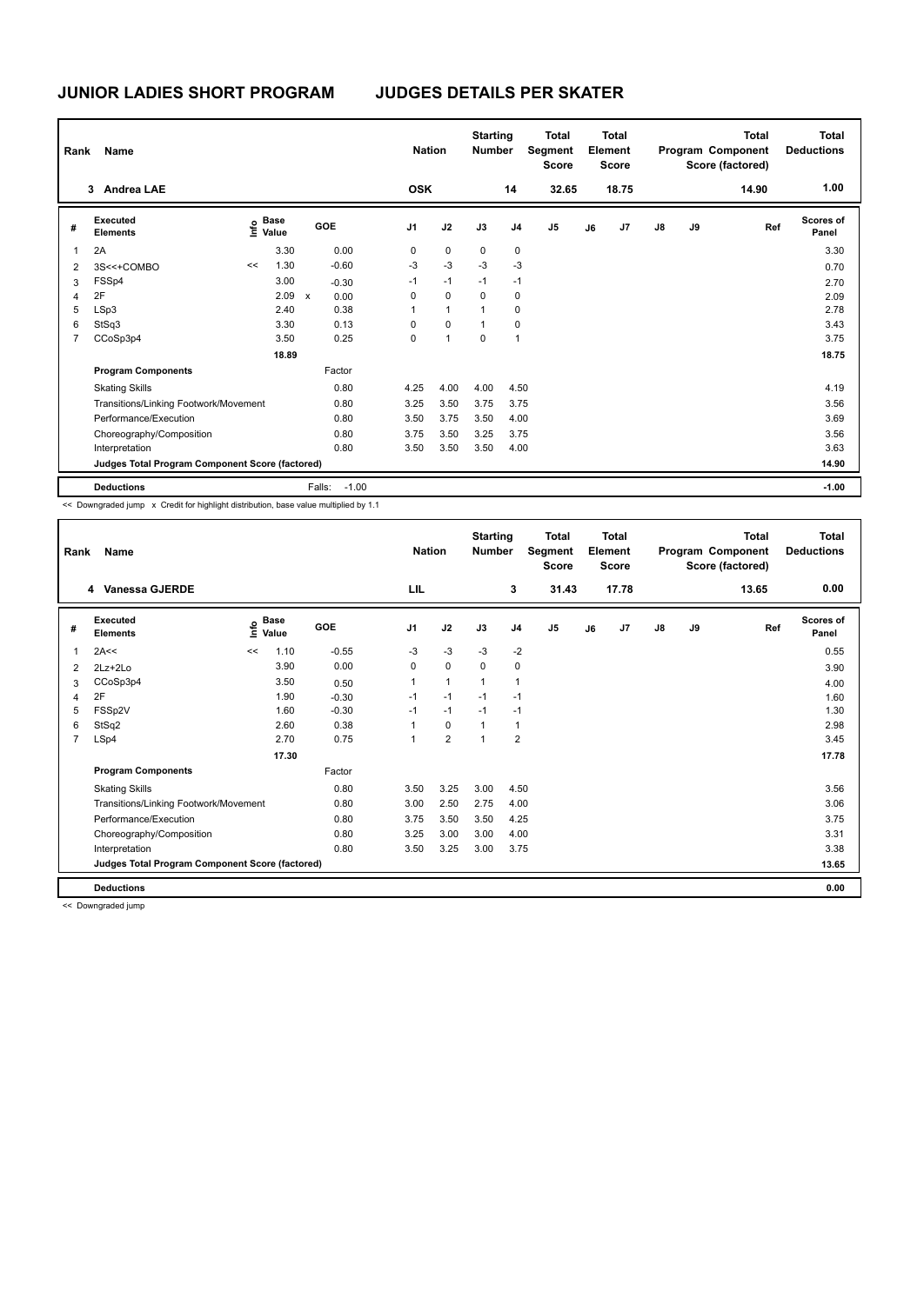| Rank           | Name                                            |      |                      |              |         | <b>Nation</b>  |                      | <b>Starting</b><br><b>Number</b> |                | <b>Total</b><br>Segment<br><b>Score</b> |    | Total<br>Element<br>Score |               |    | <b>Total</b><br>Program Component<br>Score (factored) | <b>Total</b><br><b>Deductions</b> |
|----------------|-------------------------------------------------|------|----------------------|--------------|---------|----------------|----------------------|----------------------------------|----------------|-----------------------------------------|----|---------------------------|---------------|----|-------------------------------------------------------|-----------------------------------|
|                | <b>Andrea LAE</b><br>3                          |      |                      |              |         | <b>OSK</b>     |                      |                                  | 14             | 32.65                                   |    | 18.75                     |               |    | 14.90                                                 | 1.00                              |
| #              | Executed<br><b>Elements</b>                     | lnfo | <b>Base</b><br>Value |              | GOE     | J <sub>1</sub> | J2                   | J3                               | J <sub>4</sub> | J <sub>5</sub>                          | J6 | J7                        | $\mathsf{J}8$ | J9 | Ref                                                   | Scores of<br>Panel                |
|                | 2A                                              |      | 3.30                 |              | 0.00    | 0              | $\mathbf 0$          | 0                                | 0              |                                         |    |                           |               |    |                                                       | 3.30                              |
| $\overline{2}$ | 3S<<+COMBO                                      | <<   | 1.30                 |              | $-0.60$ | -3             | $-3$                 | $-3$                             | $-3$           |                                         |    |                           |               |    |                                                       | 0.70                              |
| 3              | FSSp4                                           |      | 3.00                 |              | $-0.30$ | $-1$           | $-1$                 | $-1$                             | $-1$           |                                         |    |                           |               |    |                                                       | 2.70                              |
| 4              | 2F                                              |      | 2.09                 | $\mathsf{x}$ | 0.00    | 0              | $\mathbf 0$          | $\Omega$                         | $\mathbf 0$    |                                         |    |                           |               |    |                                                       | 2.09                              |
| 5              | LSp3                                            |      | 2.40                 |              | 0.38    | 1              | $\mathbf{1}$         | 1                                | 0              |                                         |    |                           |               |    |                                                       | 2.78                              |
| 6              | StSq3                                           |      | 3.30                 |              | 0.13    | 0              | $\mathbf 0$          | 1                                | 0              |                                         |    |                           |               |    |                                                       | 3.43                              |
| $\overline{7}$ | CCoSp3p4                                        |      | 3.50                 |              | 0.25    | 0              | $\blacktriangleleft$ | 0                                | $\overline{1}$ |                                         |    |                           |               |    |                                                       | 3.75                              |
|                |                                                 |      | 18.89                |              |         |                |                      |                                  |                |                                         |    |                           |               |    |                                                       | 18.75                             |
|                | <b>Program Components</b>                       |      |                      |              | Factor  |                |                      |                                  |                |                                         |    |                           |               |    |                                                       |                                   |
|                | <b>Skating Skills</b>                           |      |                      |              | 0.80    | 4.25           | 4.00                 | 4.00                             | 4.50           |                                         |    |                           |               |    |                                                       | 4.19                              |
|                | Transitions/Linking Footwork/Movement           |      |                      |              | 0.80    | 3.25           | 3.50                 | 3.75                             | 3.75           |                                         |    |                           |               |    |                                                       | 3.56                              |
|                | Performance/Execution                           |      |                      |              | 0.80    | 3.50           | 3.75                 | 3.50                             | 4.00           |                                         |    |                           |               |    |                                                       | 3.69                              |
|                | Choreography/Composition                        |      |                      |              | 0.80    | 3.75           | 3.50                 | 3.25                             | 3.75           |                                         |    |                           |               |    |                                                       | 3.56                              |
|                | Interpretation                                  |      |                      |              | 0.80    | 3.50           | 3.50                 | 3.50                             | 4.00           |                                         |    |                           |               |    |                                                       | 3.63                              |
|                | Judges Total Program Component Score (factored) |      |                      |              |         |                |                      |                                  |                |                                         |    |                           |               |    |                                                       | 14.90                             |
|                | <b>Deductions</b>                               |      |                      | Falls:       | $-1.00$ |                |                      |                                  |                |                                         |    |                           |               |    |                                                       | $-1.00$                           |

<< Downgraded jump x Credit for highlight distribution, base value multiplied by 1.1

| Rank           | Name                                            |      |                      |         | <b>Nation</b>  |                | <b>Starting</b><br><b>Number</b> |                | <b>Total</b><br>Segment<br><b>Score</b> |    | <b>Total</b><br>Element<br><b>Score</b> |               |    | Total<br>Program Component<br>Score (factored) | <b>Total</b><br><b>Deductions</b> |
|----------------|-------------------------------------------------|------|----------------------|---------|----------------|----------------|----------------------------------|----------------|-----------------------------------------|----|-----------------------------------------|---------------|----|------------------------------------------------|-----------------------------------|
|                | 4 Vanessa GJERDE                                |      |                      |         | LIL            |                |                                  | 3              | 31.43                                   |    | 17.78                                   |               |    | 13.65                                          | 0.00                              |
| #              | Executed<br><b>Elements</b>                     | lnfo | <b>Base</b><br>Value | GOE     | J <sub>1</sub> | J2             | J3                               | J <sub>4</sub> | J <sub>5</sub>                          | J6 | J <sub>7</sub>                          | $\mathsf{J}8$ | J9 | Ref                                            | <b>Scores of</b><br>Panel         |
| 1              | 2A<<                                            | <<   | 1.10                 | $-0.55$ | -3             | $-3$           | $-3$                             | $-2$           |                                         |    |                                         |               |    |                                                | 0.55                              |
| $\overline{2}$ | $2Lz + 2Lo$                                     |      | 3.90                 | 0.00    | 0              | $\mathbf 0$    | $\Omega$                         | 0              |                                         |    |                                         |               |    |                                                | 3.90                              |
| 3              | CCoSp3p4                                        |      | 3.50                 | 0.50    |                | $\mathbf{1}$   | $\mathbf{1}$                     | 1              |                                         |    |                                         |               |    |                                                | 4.00                              |
| 4              | 2F                                              |      | 1.90                 | $-0.30$ | $-1$           | $-1$           | $-1$                             | $-1$           |                                         |    |                                         |               |    |                                                | 1.60                              |
| 5              | FSSp2V                                          |      | 1.60                 | $-0.30$ | $-1$           | $-1$           | $-1$                             | $-1$           |                                         |    |                                         |               |    |                                                | 1.30                              |
| 6              | StSq2                                           |      | 2.60                 | 0.38    |                | $\mathbf 0$    | $\mathbf{1}$                     | $\mathbf{1}$   |                                         |    |                                         |               |    |                                                | 2.98                              |
| 7              | LSp4                                            |      | 2.70                 | 0.75    |                | $\overline{2}$ | $\overline{1}$                   | $\overline{2}$ |                                         |    |                                         |               |    |                                                | 3.45                              |
|                |                                                 |      | 17.30                |         |                |                |                                  |                |                                         |    |                                         |               |    |                                                | 17.78                             |
|                | <b>Program Components</b>                       |      |                      | Factor  |                |                |                                  |                |                                         |    |                                         |               |    |                                                |                                   |
|                | <b>Skating Skills</b>                           |      |                      | 0.80    | 3.50           | 3.25           | 3.00                             | 4.50           |                                         |    |                                         |               |    |                                                | 3.56                              |
|                | Transitions/Linking Footwork/Movement           |      |                      | 0.80    | 3.00           | 2.50           | 2.75                             | 4.00           |                                         |    |                                         |               |    |                                                | 3.06                              |
|                | Performance/Execution                           |      |                      | 0.80    | 3.75           | 3.50           | 3.50                             | 4.25           |                                         |    |                                         |               |    |                                                | 3.75                              |
|                | Choreography/Composition                        |      |                      | 0.80    | 3.25           | 3.00           | 3.00                             | 4.00           |                                         |    |                                         |               |    |                                                | 3.31                              |
|                | Interpretation                                  |      |                      | 0.80    | 3.50           | 3.25           | 3.00                             | 3.75           |                                         |    |                                         |               |    |                                                | 3.38                              |
|                | Judges Total Program Component Score (factored) |      |                      |         |                |                |                                  |                |                                         |    |                                         |               |    |                                                | 13.65                             |
|                | <b>Deductions</b>                               |      |                      |         |                |                |                                  |                |                                         |    |                                         |               |    |                                                | 0.00                              |

<< Downgraded jump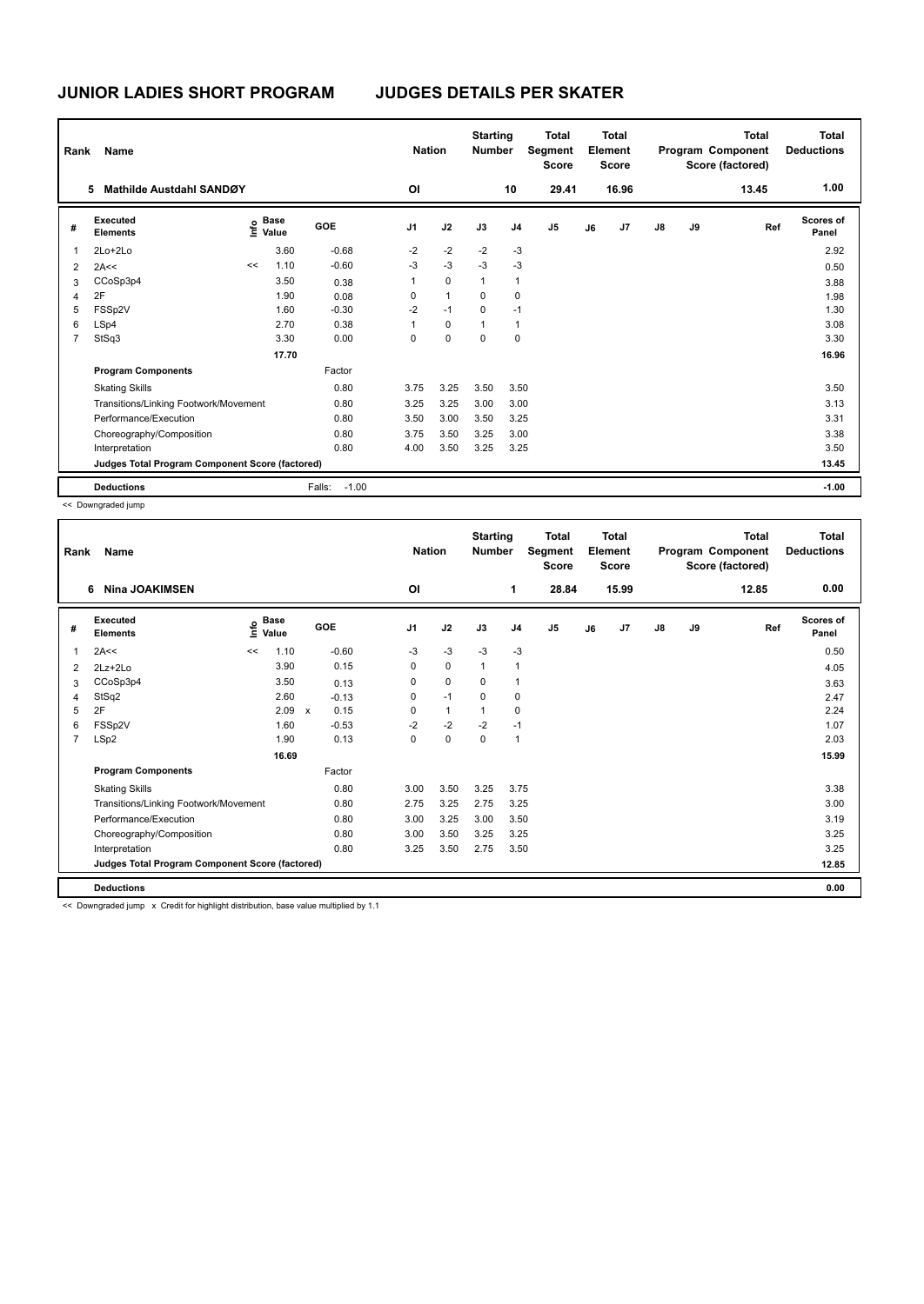| Rank           | Name                                            |    |                                  |                   | <b>Nation</b>  |              | <b>Starting</b><br><b>Number</b> |                | <b>Total</b><br>Segment<br><b>Score</b> |    | Total<br>Element<br><b>Score</b> |               |    | <b>Total</b><br>Program Component<br>Score (factored) | <b>Total</b><br><b>Deductions</b> |
|----------------|-------------------------------------------------|----|----------------------------------|-------------------|----------------|--------------|----------------------------------|----------------|-----------------------------------------|----|----------------------------------|---------------|----|-------------------------------------------------------|-----------------------------------|
|                | Mathilde Austdahl SANDØY<br>5                   |    |                                  |                   | OI             |              |                                  | 10             | 29.41                                   |    | 16.96                            |               |    | 13.45                                                 | 1.00                              |
| #              | Executed<br><b>Elements</b>                     |    | <b>Base</b><br>e Base<br>⊆ Value | GOE               | J <sub>1</sub> | J2           | J3                               | J <sub>4</sub> | J <sub>5</sub>                          | J6 | J7                               | $\mathsf{J}8$ | J9 | Ref                                                   | Scores of<br>Panel                |
| 1              | $2Lo+2Lo$                                       |    | 3.60                             | $-0.68$           | $-2$           | $-2$         | $-2$                             | $-3$           |                                         |    |                                  |               |    |                                                       | 2.92                              |
| $\overline{2}$ | 2A<<                                            | << | 1.10                             | $-0.60$           | $-3$           | $-3$         | $-3$                             | $-3$           |                                         |    |                                  |               |    |                                                       | 0.50                              |
| 3              | CCoSp3p4                                        |    | 3.50                             | 0.38              | 1              | $\mathbf 0$  | $\mathbf{1}$                     | $\overline{1}$ |                                         |    |                                  |               |    |                                                       | 3.88                              |
| 4              | 2F                                              |    | 1.90                             | 0.08              | 0              | $\mathbf{1}$ | $\Omega$                         | 0              |                                         |    |                                  |               |    |                                                       | 1.98                              |
| 5              | FSSp2V                                          |    | 1.60                             | $-0.30$           | $-2$           | $-1$         | $\Omega$                         | $-1$           |                                         |    |                                  |               |    |                                                       | 1.30                              |
| 6              | LSp4                                            |    | 2.70                             | 0.38              | 1              | 0            | 1                                | $\overline{1}$ |                                         |    |                                  |               |    |                                                       | 3.08                              |
| 7              | StSq3                                           |    | 3.30                             | 0.00              | 0              | $\mathbf 0$  | 0                                | 0              |                                         |    |                                  |               |    |                                                       | 3.30                              |
|                |                                                 |    | 17.70                            |                   |                |              |                                  |                |                                         |    |                                  |               |    |                                                       | 16.96                             |
|                | <b>Program Components</b>                       |    |                                  | Factor            |                |              |                                  |                |                                         |    |                                  |               |    |                                                       |                                   |
|                | <b>Skating Skills</b>                           |    |                                  | 0.80              | 3.75           | 3.25         | 3.50                             | 3.50           |                                         |    |                                  |               |    |                                                       | 3.50                              |
|                | Transitions/Linking Footwork/Movement           |    |                                  | 0.80              | 3.25           | 3.25         | 3.00                             | 3.00           |                                         |    |                                  |               |    |                                                       | 3.13                              |
|                | Performance/Execution                           |    |                                  | 0.80              | 3.50           | 3.00         | 3.50                             | 3.25           |                                         |    |                                  |               |    |                                                       | 3.31                              |
|                | Choreography/Composition                        |    |                                  | 0.80              | 3.75           | 3.50         | 3.25                             | 3.00           |                                         |    |                                  |               |    |                                                       | 3.38                              |
|                | Interpretation                                  |    |                                  | 0.80              | 4.00           | 3.50         | 3.25                             | 3.25           |                                         |    |                                  |               |    |                                                       | 3.50                              |
|                | Judges Total Program Component Score (factored) |    |                                  |                   |                |              |                                  |                |                                         |    |                                  |               |    |                                                       | 13.45                             |
|                | <b>Deductions</b>                               |    |                                  | $-1.00$<br>Falls: |                |              |                                  |                |                                         |    |                                  |               |    |                                                       | $-1.00$                           |

<< Downgraded jump

| Rank           | Name                                            |      |                      |              |         | <b>Nation</b>  |              | <b>Starting</b><br><b>Number</b> |                | <b>Total</b><br>Segment<br><b>Score</b> |    | <b>Total</b><br>Element<br>Score |    |    | <b>Total</b><br>Program Component<br>Score (factored) | <b>Total</b><br><b>Deductions</b> |
|----------------|-------------------------------------------------|------|----------------------|--------------|---------|----------------|--------------|----------------------------------|----------------|-----------------------------------------|----|----------------------------------|----|----|-------------------------------------------------------|-----------------------------------|
|                | <b>Nina JOAKIMSEN</b><br>6                      |      |                      |              |         | O <sub>l</sub> |              |                                  | $\mathbf{1}$   | 28.84                                   |    | 15.99                            |    |    | 12.85                                                 | 0.00                              |
| #              | Executed<br><b>Elements</b>                     | ١nfo | <b>Base</b><br>Value | GOE          |         | J <sub>1</sub> | J2           | J3                               | J <sub>4</sub> | J <sub>5</sub>                          | J6 | J <sub>7</sub>                   | J8 | J9 | Ref                                                   | <b>Scores of</b><br>Panel         |
| 1              | 2A<<                                            | <<   | 1.10                 |              | $-0.60$ | $-3$           | $-3$         | $-3$                             | $-3$           |                                         |    |                                  |    |    |                                                       | 0.50                              |
| 2              | $2Lz+2Lo$                                       |      | 3.90                 |              | 0.15    | 0              | $\mathbf 0$  | $\mathbf{1}$                     | $\mathbf{1}$   |                                         |    |                                  |    |    |                                                       | 4.05                              |
| 3              | CCoSp3p4                                        |      | 3.50                 |              | 0.13    | 0              | $\mathbf 0$  | $\mathbf 0$                      | $\mathbf{1}$   |                                         |    |                                  |    |    |                                                       | 3.63                              |
| 4              | StSq2                                           |      | 2.60                 |              | $-0.13$ | 0              | $-1$         | 0                                | 0              |                                         |    |                                  |    |    |                                                       | 2.47                              |
| 5              | 2F                                              |      | 2.09                 | $\mathsf{x}$ | 0.15    | 0              | $\mathbf{1}$ | 1                                | 0              |                                         |    |                                  |    |    |                                                       | 2.24                              |
| 6              | FSSp2V                                          |      | 1.60                 |              | $-0.53$ | $-2$           | $-2$         | $-2$                             | $-1$           |                                         |    |                                  |    |    |                                                       | 1.07                              |
| $\overline{7}$ | LSp2                                            |      | 1.90                 |              | 0.13    | $\Omega$       | $\mathbf 0$  | $\Omega$                         | $\mathbf{1}$   |                                         |    |                                  |    |    |                                                       | 2.03                              |
|                |                                                 |      | 16.69                |              |         |                |              |                                  |                |                                         |    |                                  |    |    |                                                       | 15.99                             |
|                | <b>Program Components</b>                       |      |                      |              | Factor  |                |              |                                  |                |                                         |    |                                  |    |    |                                                       |                                   |
|                | <b>Skating Skills</b>                           |      |                      |              | 0.80    | 3.00           | 3.50         | 3.25                             | 3.75           |                                         |    |                                  |    |    |                                                       | 3.38                              |
|                | Transitions/Linking Footwork/Movement           |      |                      |              | 0.80    | 2.75           | 3.25         | 2.75                             | 3.25           |                                         |    |                                  |    |    |                                                       | 3.00                              |
|                | Performance/Execution                           |      |                      |              | 0.80    | 3.00           | 3.25         | 3.00                             | 3.50           |                                         |    |                                  |    |    |                                                       | 3.19                              |
|                | Choreography/Composition                        |      |                      |              | 0.80    | 3.00           | 3.50         | 3.25                             | 3.25           |                                         |    |                                  |    |    |                                                       | 3.25                              |
|                | Interpretation                                  |      |                      |              | 0.80    | 3.25           | 3.50         | 2.75                             | 3.50           |                                         |    |                                  |    |    |                                                       | 3.25                              |
|                | Judges Total Program Component Score (factored) |      |                      |              |         |                |              |                                  |                |                                         |    |                                  |    |    |                                                       | 12.85                             |
|                | <b>Deductions</b>                               |      |                      |              |         |                |              |                                  |                |                                         |    |                                  |    |    |                                                       | 0.00                              |

<< Downgraded jump x Credit for highlight distribution, base value multiplied by 1.1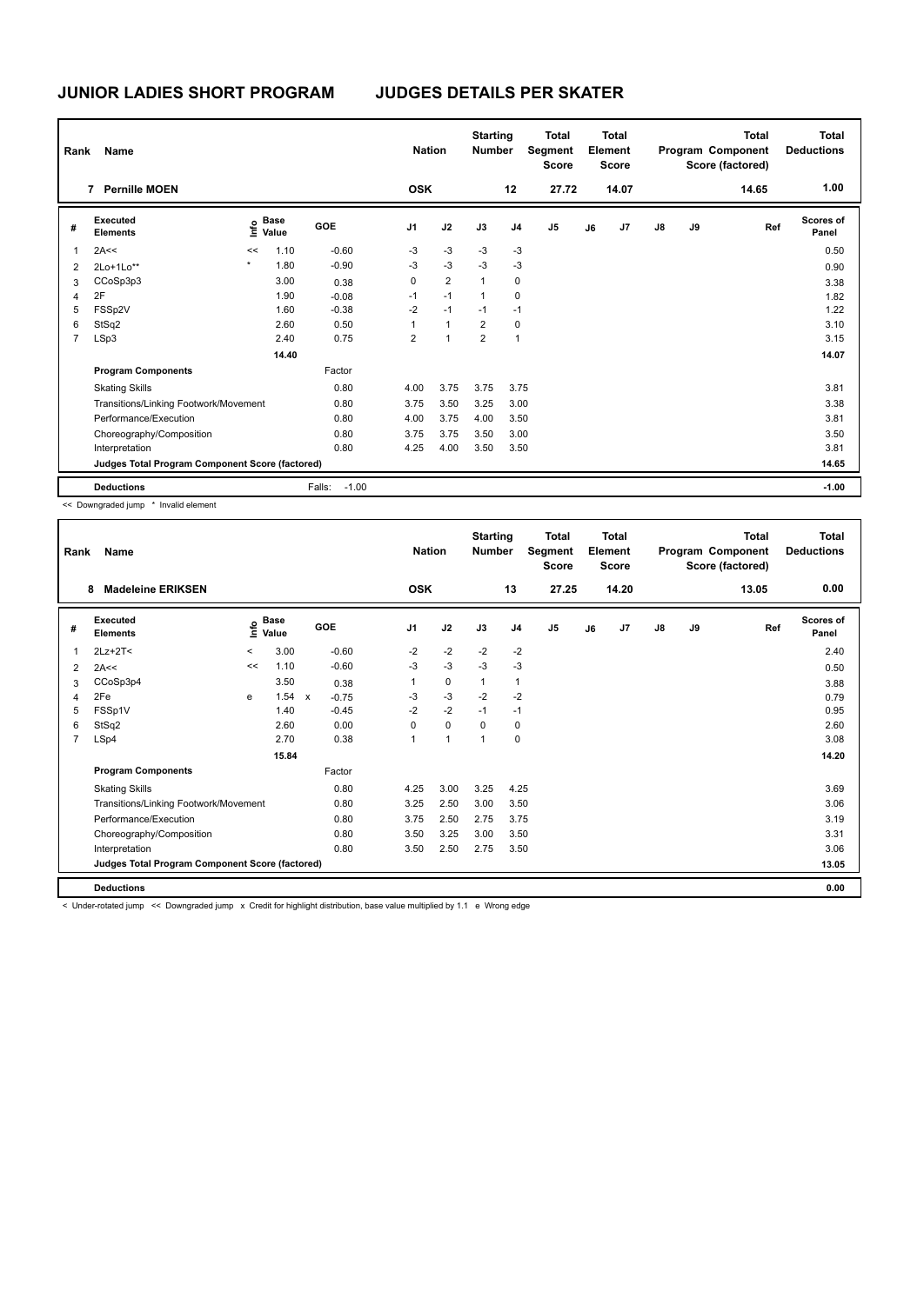| Rank | Name                                            |         |                      |                   | <b>Nation</b>  |                | <b>Starting</b><br><b>Number</b> |                | <b>Total</b><br>Segment<br><b>Score</b> |    | <b>Total</b><br>Element<br><b>Score</b> |               |    | Total<br>Program Component<br>Score (factored) | <b>Total</b><br><b>Deductions</b> |
|------|-------------------------------------------------|---------|----------------------|-------------------|----------------|----------------|----------------------------------|----------------|-----------------------------------------|----|-----------------------------------------|---------------|----|------------------------------------------------|-----------------------------------|
|      | <b>Pernille MOEN</b><br>7                       |         |                      |                   | <b>OSK</b>     |                |                                  | 12             | 27.72                                   |    | 14.07                                   |               |    | 14.65                                          | 1.00                              |
| #    | Executed<br><b>Elements</b>                     | lnfo    | <b>Base</b><br>Value | <b>GOE</b>        | J <sub>1</sub> | J2             | J3                               | J <sub>4</sub> | J <sub>5</sub>                          | J6 | J7                                      | $\mathsf{J}8$ | J9 | Ref                                            | Scores of<br>Panel                |
| 1    | 2A<<                                            | <<      | 1.10                 | $-0.60$           | $-3$           | $-3$           | $-3$                             | $-3$           |                                         |    |                                         |               |    |                                                | 0.50                              |
| 2    | 2Lo+1Lo**                                       | $\star$ | 1.80                 | $-0.90$           | $-3$           | $-3$           | $-3$                             | $-3$           |                                         |    |                                         |               |    |                                                | 0.90                              |
| 3    | CCoSp3p3                                        |         | 3.00                 | 0.38              | 0              | $\overline{2}$ | $\mathbf{1}$                     | 0              |                                         |    |                                         |               |    |                                                | 3.38                              |
| 4    | 2F                                              |         | 1.90                 | $-0.08$           | $-1$           | $-1$           | $\mathbf{1}$                     | 0              |                                         |    |                                         |               |    |                                                | 1.82                              |
| 5    | FSSp2V                                          |         | 1.60                 | $-0.38$           | $-2$           | $-1$           | $-1$                             | $-1$           |                                         |    |                                         |               |    |                                                | 1.22                              |
| 6    | StSq2                                           |         | 2.60                 | 0.50              | 1              | $\mathbf{1}$   | $\overline{2}$                   | 0              |                                         |    |                                         |               |    |                                                | 3.10                              |
| 7    | LSp3                                            |         | 2.40                 | 0.75              | $\overline{2}$ | 1              | $\overline{2}$                   | $\overline{1}$ |                                         |    |                                         |               |    |                                                | 3.15                              |
|      |                                                 |         | 14.40                |                   |                |                |                                  |                |                                         |    |                                         |               |    |                                                | 14.07                             |
|      | <b>Program Components</b>                       |         |                      | Factor            |                |                |                                  |                |                                         |    |                                         |               |    |                                                |                                   |
|      | <b>Skating Skills</b>                           |         |                      | 0.80              | 4.00           | 3.75           | 3.75                             | 3.75           |                                         |    |                                         |               |    |                                                | 3.81                              |
|      | Transitions/Linking Footwork/Movement           |         |                      | 0.80              | 3.75           | 3.50           | 3.25                             | 3.00           |                                         |    |                                         |               |    |                                                | 3.38                              |
|      | Performance/Execution                           |         |                      | 0.80              | 4.00           | 3.75           | 4.00                             | 3.50           |                                         |    |                                         |               |    |                                                | 3.81                              |
|      | Choreography/Composition                        |         |                      | 0.80              | 3.75           | 3.75           | 3.50                             | 3.00           |                                         |    |                                         |               |    |                                                | 3.50                              |
|      | Interpretation                                  |         |                      | 0.80              | 4.25           | 4.00           | 3.50                             | 3.50           |                                         |    |                                         |               |    |                                                | 3.81                              |
|      | Judges Total Program Component Score (factored) |         |                      |                   |                |                |                                  |                |                                         |    |                                         |               |    |                                                | 14.65                             |
|      | <b>Deductions</b>                               |         |                      | $-1.00$<br>Falls: |                |                |                                  |                |                                         |    |                                         |               |    |                                                | $-1.00$                           |

<< Downgraded jump \* Invalid element

| Rank           | Name                                            |          |                      |              |         |                | <b>Nation</b> | <b>Starting</b><br><b>Number</b> |                | <b>Total</b><br>Segment<br><b>Score</b> |    | Total<br>Element<br><b>Score</b> |               |    | <b>Total</b><br>Program Component<br>Score (factored) | <b>Total</b><br><b>Deductions</b> |
|----------------|-------------------------------------------------|----------|----------------------|--------------|---------|----------------|---------------|----------------------------------|----------------|-----------------------------------------|----|----------------------------------|---------------|----|-------------------------------------------------------|-----------------------------------|
|                | <b>Madeleine ERIKSEN</b><br>8                   |          |                      |              |         | <b>OSK</b>     |               |                                  | 13             | 27.25                                   |    | 14.20                            |               |    | 13.05                                                 | 0.00                              |
| #              | Executed<br><b>Elements</b>                     | e        | <b>Base</b><br>Value | GOE          |         | J <sub>1</sub> | J2            | J3                               | J <sub>4</sub> | J <sub>5</sub>                          | J6 | J <sub>7</sub>                   | $\mathsf{J}8$ | J9 | Ref                                                   | <b>Scores of</b><br>Panel         |
| 1              | $2Lz+2T<$                                       | $\hat{}$ | 3.00                 |              | $-0.60$ | $-2$           | $-2$          | $-2$                             | $-2$           |                                         |    |                                  |               |    |                                                       | 2.40                              |
| 2              | 2A<<                                            | <<       | 1.10                 |              | $-0.60$ | $-3$           | $-3$          | $-3$                             | $-3$           |                                         |    |                                  |               |    |                                                       | 0.50                              |
| 3              | CCoSp3p4                                        |          | 3.50                 |              | 0.38    | 1              | 0             | $\mathbf{1}$                     | $\mathbf{1}$   |                                         |    |                                  |               |    |                                                       | 3.88                              |
| 4              | 2Fe                                             | e        | 1.54                 | $\mathsf{x}$ | $-0.75$ | -3             | $-3$          | $-2$                             | $-2$           |                                         |    |                                  |               |    |                                                       | 0.79                              |
| 5              | FSSp1V                                          |          | 1.40                 |              | $-0.45$ | $-2$           | $-2$          | $-1$                             | $-1$           |                                         |    |                                  |               |    |                                                       | 0.95                              |
| 6              | StSq2                                           |          | 2.60                 |              | 0.00    | 0              | $\mathbf 0$   | $\Omega$                         | 0              |                                         |    |                                  |               |    |                                                       | 2.60                              |
| $\overline{7}$ | LSp4                                            |          | 2.70                 |              | 0.38    | $\mathbf{1}$   | $\mathbf{1}$  | 1                                | 0              |                                         |    |                                  |               |    |                                                       | 3.08                              |
|                |                                                 |          | 15.84                |              |         |                |               |                                  |                |                                         |    |                                  |               |    |                                                       | 14.20                             |
|                | <b>Program Components</b>                       |          |                      |              | Factor  |                |               |                                  |                |                                         |    |                                  |               |    |                                                       |                                   |
|                | <b>Skating Skills</b>                           |          |                      |              | 0.80    | 4.25           | 3.00          | 3.25                             | 4.25           |                                         |    |                                  |               |    |                                                       | 3.69                              |
|                | Transitions/Linking Footwork/Movement           |          |                      |              | 0.80    | 3.25           | 2.50          | 3.00                             | 3.50           |                                         |    |                                  |               |    |                                                       | 3.06                              |
|                | Performance/Execution                           |          |                      |              | 0.80    | 3.75           | 2.50          | 2.75                             | 3.75           |                                         |    |                                  |               |    |                                                       | 3.19                              |
|                | Choreography/Composition                        |          |                      |              | 0.80    | 3.50           | 3.25          | 3.00                             | 3.50           |                                         |    |                                  |               |    |                                                       | 3.31                              |
|                | Interpretation                                  |          |                      |              | 0.80    | 3.50           | 2.50          | 2.75                             | 3.50           |                                         |    |                                  |               |    |                                                       | 3.06                              |
|                | Judges Total Program Component Score (factored) |          |                      |              |         |                |               |                                  |                |                                         |    |                                  |               |    |                                                       | 13.05                             |
|                | <b>Deductions</b>                               |          |                      |              |         |                |               |                                  |                |                                         |    |                                  |               |    |                                                       | 0.00                              |

< Under-rotated jump << Downgraded jump x Credit for highlight distribution, base value multiplied by 1.1 e Wrong edge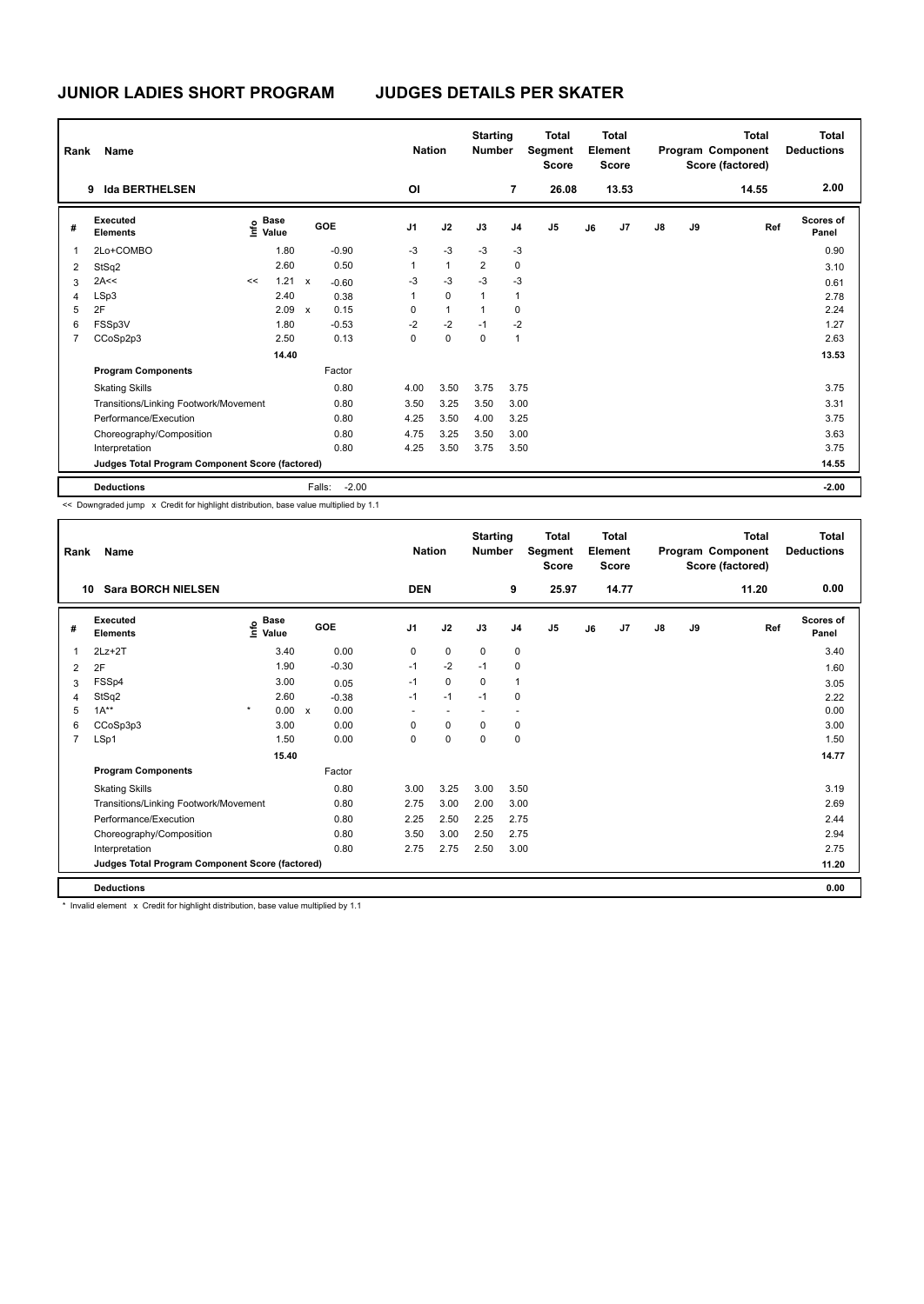| Rank           | Name                                            |    |                                  |              |         | <b>Nation</b>  |              | <b>Starting</b><br><b>Number</b> |                         | <b>Total</b><br>Segment<br><b>Score</b> |    | Total<br>Element<br><b>Score</b> |               |    | <b>Total</b><br>Program Component<br>Score (factored) | <b>Total</b><br><b>Deductions</b> |
|----------------|-------------------------------------------------|----|----------------------------------|--------------|---------|----------------|--------------|----------------------------------|-------------------------|-----------------------------------------|----|----------------------------------|---------------|----|-------------------------------------------------------|-----------------------------------|
|                | <b>Ida BERTHELSEN</b><br>9                      |    |                                  |              |         | ΟI             |              |                                  | $\overline{7}$          | 26.08                                   |    | 13.53                            |               |    | 14.55                                                 | 2.00                              |
| #              | Executed<br><b>Elements</b>                     |    | <b>Base</b><br>e Base<br>⊆ Value |              | GOE     | J <sub>1</sub> | J2           | J3                               | J <sub>4</sub>          | J <sub>5</sub>                          | J6 | J7                               | $\mathsf{J}8$ | J9 | Ref                                                   | Scores of<br>Panel                |
|                | 2Lo+COMBO                                       |    | 1.80                             |              | $-0.90$ | $-3$           | $-3$         | $-3$                             | $-3$                    |                                         |    |                                  |               |    |                                                       | 0.90                              |
| 2              | StSq2                                           |    | 2.60                             |              | 0.50    | $\mathbf{1}$   | $\mathbf{1}$ | 2                                | $\mathbf 0$             |                                         |    |                                  |               |    |                                                       | 3.10                              |
| 3              | 2A<<                                            | << | 1.21                             | $\mathsf{x}$ | $-0.60$ | -3             | $-3$         | $-3$                             | $-3$                    |                                         |    |                                  |               |    |                                                       | 0.61                              |
| 4              | LSp3                                            |    | 2.40                             |              | 0.38    | $\mathbf{1}$   | $\mathbf 0$  | 1                                | $\overline{1}$          |                                         |    |                                  |               |    |                                                       | 2.78                              |
| 5              | 2F                                              |    | 2.09                             | $\mathsf{x}$ | 0.15    | 0              | $\mathbf{1}$ | $\overline{1}$                   | 0                       |                                         |    |                                  |               |    |                                                       | 2.24                              |
| 6              | FSSp3V                                          |    | 1.80                             |              | $-0.53$ | $-2$           | $-2$         | $-1$                             | $-2$                    |                                         |    |                                  |               |    |                                                       | 1.27                              |
| $\overline{7}$ | CCoSp2p3                                        |    | 2.50                             |              | 0.13    | 0              | $\mathbf 0$  | $\mathbf 0$                      | $\overline{\mathbf{1}}$ |                                         |    |                                  |               |    |                                                       | 2.63                              |
|                |                                                 |    | 14.40                            |              |         |                |              |                                  |                         |                                         |    |                                  |               |    |                                                       | 13.53                             |
|                | <b>Program Components</b>                       |    |                                  |              | Factor  |                |              |                                  |                         |                                         |    |                                  |               |    |                                                       |                                   |
|                | <b>Skating Skills</b>                           |    |                                  |              | 0.80    | 4.00           | 3.50         | 3.75                             | 3.75                    |                                         |    |                                  |               |    |                                                       | 3.75                              |
|                | Transitions/Linking Footwork/Movement           |    |                                  |              | 0.80    | 3.50           | 3.25         | 3.50                             | 3.00                    |                                         |    |                                  |               |    |                                                       | 3.31                              |
|                | Performance/Execution                           |    |                                  |              | 0.80    | 4.25           | 3.50         | 4.00                             | 3.25                    |                                         |    |                                  |               |    |                                                       | 3.75                              |
|                | Choreography/Composition                        |    |                                  |              | 0.80    | 4.75           | 3.25         | 3.50                             | 3.00                    |                                         |    |                                  |               |    |                                                       | 3.63                              |
|                | Interpretation                                  |    |                                  |              | 0.80    | 4.25           | 3.50         | 3.75                             | 3.50                    |                                         |    |                                  |               |    |                                                       | 3.75                              |
|                | Judges Total Program Component Score (factored) |    |                                  |              |         |                |              |                                  |                         |                                         |    |                                  |               |    |                                                       | 14.55                             |
|                | <b>Deductions</b>                               |    |                                  | Falls:       | $-2.00$ |                |              |                                  |                         |                                         |    |                                  |               |    |                                                       | $-2.00$                           |

<< Downgraded jump x Credit for highlight distribution, base value multiplied by 1.1

| Rank           | Name                                            |         |                      |                           |            |                | <b>Nation</b>            | <b>Starting</b><br><b>Number</b> |                | Total<br>Segment<br><b>Score</b> |    | <b>Total</b><br>Element<br><b>Score</b> |               |    | <b>Total</b><br>Program Component<br>Score (factored) | Total<br><b>Deductions</b> |
|----------------|-------------------------------------------------|---------|----------------------|---------------------------|------------|----------------|--------------------------|----------------------------------|----------------|----------------------------------|----|-----------------------------------------|---------------|----|-------------------------------------------------------|----------------------------|
| 10             | <b>Sara BORCH NIELSEN</b>                       |         |                      |                           |            | <b>DEN</b>     |                          |                                  | 9              | 25.97                            |    | 14.77                                   |               |    | 11.20                                                 | 0.00                       |
| #              | Executed<br><b>Elements</b>                     | lnfo    | <b>Base</b><br>Value |                           | <b>GOE</b> | J <sub>1</sub> | J2                       | J3                               | J <sub>4</sub> | J <sub>5</sub>                   | J6 | J7                                      | $\mathsf{J}8$ | J9 | Ref                                                   | <b>Scores of</b><br>Panel  |
| 1              | $2Lz+2T$                                        |         | 3.40                 |                           | 0.00       | 0              | $\mathbf 0$              | $\mathbf 0$                      | $\mathbf 0$    |                                  |    |                                         |               |    |                                                       | 3.40                       |
| 2              | 2F                                              |         | 1.90                 |                           | $-0.30$    | $-1$           | $-2$                     | $-1$                             | $\mathbf 0$    |                                  |    |                                         |               |    |                                                       | 1.60                       |
| 3              | FSSp4                                           |         | 3.00                 |                           | 0.05       | $-1$           | $\mathbf 0$              | 0                                | $\mathbf{1}$   |                                  |    |                                         |               |    |                                                       | 3.05                       |
| $\overline{4}$ | StSq2                                           |         | 2.60                 |                           | $-0.38$    | $-1$           | $-1$                     | $-1$                             | $\mathbf 0$    |                                  |    |                                         |               |    |                                                       | 2.22                       |
| 5              | $1A***$                                         | $\star$ | 0.00                 | $\boldsymbol{\mathsf{x}}$ | 0.00       | ٠              | $\overline{\phantom{a}}$ | $\overline{\phantom{a}}$         | ٠.             |                                  |    |                                         |               |    |                                                       | 0.00                       |
| 6              | CCoSp3p3                                        |         | 3.00                 |                           | 0.00       | 0              | $\mathbf 0$              | $\mathbf 0$                      | 0              |                                  |    |                                         |               |    |                                                       | 3.00                       |
| $\overline{7}$ | LSp1                                            |         | 1.50                 |                           | 0.00       | 0              | 0                        | 0                                | $\mathbf 0$    |                                  |    |                                         |               |    |                                                       | 1.50                       |
|                |                                                 |         | 15.40                |                           |            |                |                          |                                  |                |                                  |    |                                         |               |    |                                                       | 14.77                      |
|                | <b>Program Components</b>                       |         |                      |                           | Factor     |                |                          |                                  |                |                                  |    |                                         |               |    |                                                       |                            |
|                | <b>Skating Skills</b>                           |         |                      |                           | 0.80       | 3.00           | 3.25                     | 3.00                             | 3.50           |                                  |    |                                         |               |    |                                                       | 3.19                       |
|                | Transitions/Linking Footwork/Movement           |         |                      |                           | 0.80       | 2.75           | 3.00                     | 2.00                             | 3.00           |                                  |    |                                         |               |    |                                                       | 2.69                       |
|                | Performance/Execution                           |         |                      |                           | 0.80       | 2.25           | 2.50                     | 2.25                             | 2.75           |                                  |    |                                         |               |    |                                                       | 2.44                       |
|                | Choreography/Composition                        |         |                      |                           | 0.80       | 3.50           | 3.00                     | 2.50                             | 2.75           |                                  |    |                                         |               |    |                                                       | 2.94                       |
|                | Interpretation                                  |         |                      |                           | 0.80       | 2.75           | 2.75                     | 2.50                             | 3.00           |                                  |    |                                         |               |    |                                                       | 2.75                       |
|                | Judges Total Program Component Score (factored) |         |                      |                           |            |                |                          |                                  |                |                                  |    |                                         |               |    |                                                       | 11.20                      |
|                | <b>Deductions</b>                               |         |                      |                           |            |                |                          |                                  |                |                                  |    |                                         |               |    |                                                       | 0.00                       |

\* Invalid element x Credit for highlight distribution, base value multiplied by 1.1